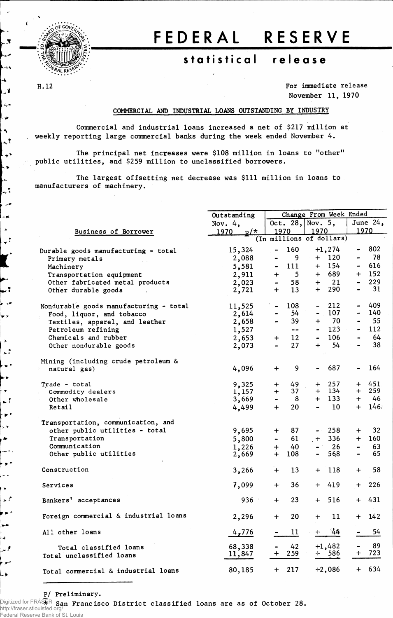

## FEDERA L RESERV E

## **statistica l releas e**

H.12

 $\mathbf{x}$ 

ilist al  $\blacktriangle$ 

 $\mathbf{r}$ 

حبا  $\cdot \star$  $\ddot{\bullet}$  $\mathcal{L}$ L,, ┞ѧ  $\downarrow$  $\overline{a}$ 

م. , a.  $\Delta$ تنويا

k i نور لا حعا

 $\rightarrow$ تلمله  $\ddot{\phantom{1}}$ ÷Þ  $\rightarrow$ шŤ  $\rightarrow$ ,,  $\blacktriangleright$ ÷,  $\bullet$   $\bullet$ للأنفاء  $\blacksquare$  $\rightarrow$   $\uparrow$  $\mathbf{p}^{\prime}$  $\overline{\phantom{a}}$  $\rightarrow$ فلمعر

۸

**For immediate release November 11, 1970**

## **COMMERCIAL AND INDUSTRIAL LOANS OUTSTANDING BY INDUSTRY**

**Commercial and industrial loans increased a net of \$217 million at weekly reporting large commercial banks during the week ended November 4.**

**The principal net increases were \$108 million in loans to "other" public utilities, and \$259 million to unclassified borrowers.**

**The largest offsetting net decrease was \$111 million in loans to manufacturers of machinery.**

|                                        | Outstanding   |                                  | Change From Week Ended                          |                       |  |  |  |  |
|----------------------------------------|---------------|----------------------------------|-------------------------------------------------|-----------------------|--|--|--|--|
|                                        | Nov. $4,$     |                                  | Oct. 28, Nov. $5,$                              | June $24$ ,           |  |  |  |  |
| Business of Borrower                   | 1970<br>$p/*$ | 1970                             | 1970                                            | 1970                  |  |  |  |  |
|                                        |               | (In millions of dollars)         |                                                 |                       |  |  |  |  |
| Durable goods manufacturing - total    | 15,324        | 160<br>$\blacksquare$            | $+1, 274$                                       | $-802$                |  |  |  |  |
| Primary metals                         | 2,088         | 9<br>$\blacksquare$              | $+ 120$                                         | 78<br>$\blacksquare$  |  |  |  |  |
| Machinery                              | 5,581         | 111<br>$\blacksquare$            | $+$ 154                                         | 616<br>$\blacksquare$ |  |  |  |  |
| Transportation equipment               | 2,911         | $\overline{\phantom{0}}$<br>$+$  | + 689                                           | $+ 152$               |  |  |  |  |
| Other fabricated metal products        |               | 58<br>$\frac{1}{2}$              | $+$ 21                                          | 229<br>$\blacksquare$ |  |  |  |  |
| Other durable goods                    | 2,023         | $+$<br>13                        | <b>290</b><br>$+$                               | $-31$                 |  |  |  |  |
|                                        | 2,721         |                                  |                                                 |                       |  |  |  |  |
| Nondurable goods manufacturing - total | 11,525        | 108<br>$\blacksquare$            | 212                                             | $-409$                |  |  |  |  |
| Food, liquor, and tobacco              | 2,614         | 54                               | $-107$                                          | 140                   |  |  |  |  |
| Textiles, apparel, and leather         | 2,658         | 39                               | $+ 70$                                          | 55                    |  |  |  |  |
| Petroleum refining                     | 1,527         | $\sim$ $\sim$                    | $-123$                                          | 112                   |  |  |  |  |
| Chemicals and rubber                   | 2,653         | 12 <sup>2</sup><br>$+$           | $-106$                                          | 64                    |  |  |  |  |
| Other nondurable goods                 | 2,073         | 27<br>$\blacksquare$             | 54<br>$+$                                       | 38                    |  |  |  |  |
|                                        |               |                                  |                                                 |                       |  |  |  |  |
| Mining (including crude petroleum &    |               |                                  |                                                 |                       |  |  |  |  |
| natural gas)                           | 4,096         | 9<br>$+$                         | 687<br>-                                        | 164<br>$\blacksquare$ |  |  |  |  |
|                                        |               |                                  |                                                 |                       |  |  |  |  |
| Trade - total                          | 9,325         | 49<br>$+$                        | $+$ 257                                         | 451<br>$+$            |  |  |  |  |
| Commodity dealers                      | 1,157         | 37<br>$+$                        | $+ 134$                                         | 259<br>$+$            |  |  |  |  |
| Other wholesale                        | 3,669         | $\blacksquare$<br>8 <sup>8</sup> | $+ 133$                                         | $+ 46$                |  |  |  |  |
| Retail                                 | 4,499         | 20<br>$+$                        | $\qquad \qquad \blacksquare$<br>10 <sup>°</sup> | $146^{\circ}$<br>$+$  |  |  |  |  |
| Transportation, communication, and     |               |                                  |                                                 |                       |  |  |  |  |
| other public utilities - total         | 9,695         | 87<br>$+$ $-$                    | $-258$                                          | 32<br>$+$             |  |  |  |  |
| Transportation                         | 5,800         | 61<br>$\blacksquare$             | 336<br>$+$                                      | 160<br>$+$            |  |  |  |  |
| Communication                          | 1,226         | 40<br>$+$                        | $-26$                                           | 63<br>$\blacksquare$  |  |  |  |  |
| Other public utilities                 | 2,669         | $+$<br>108                       | 568<br>-                                        | 65                    |  |  |  |  |
|                                        |               |                                  |                                                 |                       |  |  |  |  |
| Construction                           | 3,266         | 13<br>$+$                        | 118<br>$+$                                      | 58<br>$+$             |  |  |  |  |
|                                        |               |                                  |                                                 |                       |  |  |  |  |
| Sérvices                               | 7,099         | 36<br>$+$                        | 419<br>$+$                                      | 226<br>$+$            |  |  |  |  |
| Bankers' acceptances                   | 936           | 23<br>$+$                        | $+ 516$                                         | $+ 431$               |  |  |  |  |
|                                        |               |                                  |                                                 |                       |  |  |  |  |
| Foreign commercial & industrial loans  | 2,296         | 20<br>$+$                        | $+$ 11                                          | $+ 142$               |  |  |  |  |
|                                        |               |                                  |                                                 |                       |  |  |  |  |
| All other loans                        | 4,776         | $11\,$                           | $+ 44$                                          | 54                    |  |  |  |  |
| Total classified loans                 | 68,338        | 42                               | $+1,482$                                        | - 89                  |  |  |  |  |
| Total unclassified loans               | 11,847        | 259<br>$+$                       | $+$ 586                                         | 723<br>┿              |  |  |  |  |
|                                        |               |                                  |                                                 |                       |  |  |  |  |
| Total commercial & industrial loans    | 80,185        | 217<br>$\ddag$                   | $+2,086$                                        | $+ 634$               |  |  |  |  |
|                                        |               |                                  |                                                 |                       |  |  |  |  |

**P/ Preliminary.**

Digitized for FRASER **\* San Francisco District classified loans are as of October 28.** http://fraser.stlouisfed.org/ Federal Reserve Bank of St. Louis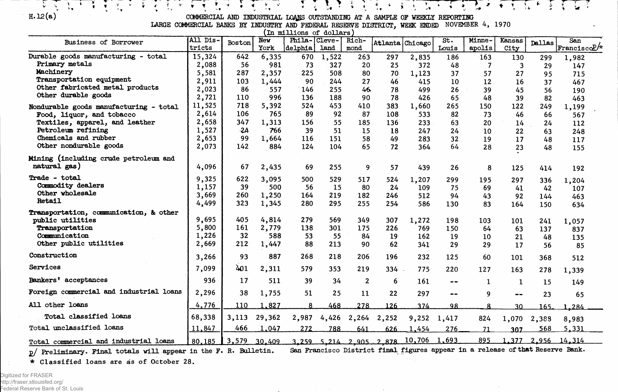$\sum_{\mathbf{y}} \sum_{\mathbf{y}} \mathbf{y} \mathbf{y} = \sum_{\mathbf{y}} \mathbf{y} \mathbf{y} \mathbf{y} \mathbf{y} \mathbf{y} \mathbf{y}$ 

**H. 12(a) COMMERCIAL AMD INDUSTRIAL LQ/\$S OUTSTANDING AT A SAMPLE OF WEEKLY REPORTING**

こうぎょうう ディストアー とんでき アイムマス そくごく

**LARGE COMMERCIAL BANKS BY INDUSTRY AND FEDERAL RESERVE DISTRICT, WEEK ENDED NOVEMBER 4, 1970**

| In millions of dollars                  |                    |        |                    |                         |       |                |                         |                 |                              |                  |                |               |                     |
|-----------------------------------------|--------------------|--------|--------------------|-------------------------|-------|----------------|-------------------------|-----------------|------------------------------|------------------|----------------|---------------|---------------------|
| Business of Borrower                    | All Dis-<br>tricts | Boston | <b>New</b><br>York | Phila-Cleve-<br>delphia | land  | Rich-<br>mond  |                         | Atlanta Chicago | St.<br>Louis                 | Minne-<br>apolis | Kansas<br>City | <b>Dallas</b> | San<br>FranciscoP/* |
| Durable goods manufacturing - total     |                    | 642    |                    |                         |       |                |                         |                 |                              |                  |                |               |                     |
| Primary metals                          | 15,324             |        | 6,335              | 670                     | 1,522 | 263            | 297                     | 2,835           | 186                          | 163              | 130            | 299           | 1,982               |
| Machinery                               | 2,088              | 56     | 981                | 73                      | 327   | 20             | 25                      | 372             | 48                           | -7               | 3              | 29            | 147                 |
| Transportation equipment                | 5,581              | 287    | 2,357              | 225                     | 508   | 80             | 70                      | 1,123           | 37                           | 57               | 27             | 95            | 715                 |
| Other fabricated metal products         | 2,911              | 103    | 1,444              | 90                      | 244   | 27             | 46                      | 415             | 10                           | 12               | 16             | 37            | 467                 |
| Other durable goods                     | 2,023              | 86     | 557                | 146                     | 255   | 46             | 78                      | 499             | 26                           | 39               | 45             | 56            | 190                 |
|                                         | 2,721              | 110    | 996                | 136                     | 188   | 90             | 78                      | 426             | 65                           | 48               | 39             | 82            | 463                 |
| Nondurable goods manufacturing - total  | 11,525             | 718    | 5,392              | 524                     | 453   | 410            | 383                     | 1,660           | 265                          | 150              | 122            | 249           | 1,199               |
| Food, liquor, and tobacco               | 2,614              | 106    | 765                | 89                      | 92    | 87             | 108                     | 533             | 82                           | 73               | 46             | 66            | 567                 |
| Textiles, apparel, and leather          | 2,658              | 347    | 1,313              | 156                     | 55    | 185            | 136                     | 233             | 63                           | 20               | 14             | 24            | 112                 |
| Petroleum refining                      | 1,527              | $-2A$  | 766                | 39                      | 51    | 15             | 18                      | 247             | 24                           | 10               | 22             | 63            | 248                 |
| Chemicals and rubber                    | 2,653              | 99     | 1,664              | 116                     | 151   | 58             | 49                      | 283             | 32                           | 19               | 17             | 48            | 117                 |
| Other nondurable goods                  | 2,073              | 142    | 884                | 124                     | 104   | 65             | 72                      | 364             | 64                           | 28               | 23             | 48            | 155                 |
| Mining (including crude petroleum and   |                    |        |                    |                         |       |                |                         |                 |                              |                  |                |               |                     |
| natural gas)                            | 4,096              | 67     | 2,435              | 69                      | 255   | 9              | 57                      | 439             | 26                           | 8                | 125            | 414           | 192                 |
| Trade - total                           | 9,325              | 622    | 3,095              | 500                     | 529   | 517            | 524                     | 1,207           | 299                          | 195              | 297            | 336           | 1,204               |
| Commodity dealers                       | 1,157              | 39     | 500                | 56                      | 15    | 80             | 24                      | 109             | 75                           | 69               | 41             | 42            | 107                 |
| Other wholesale                         | 3,669              | 260    | 1,250              | 164                     | 219   | 182            | 246                     | 512             | 94                           | 43               | 92             | 144           | 463                 |
| Retail                                  | 4,499              | 323    | 1,345              | 280                     | 295   | 255            | 254                     | 586             | 130                          | 83               | 164            | 150           | 634                 |
| Transportation, communication, & other  |                    |        |                    |                         |       |                |                         |                 |                              |                  |                |               |                     |
| public utilities                        | 9,695              | 405    | 4,814              | 279                     | 569   | 349            | 307                     | 1,272           | 198                          | 103              | 101            | 241           | 1,057               |
| Transportation                          | 5,800              | 161    | 2,779              | 138                     | 301   | 175            | 226                     | 769             | 150                          | 64               | 63             | 137           | 837                 |
| Communication                           | 1,226              | 32     | 588                | 53                      | 55    | 84             | 19                      | 162             | 19                           | 10               | 21             | 48            | 135                 |
| Other public utilities                  | 2,669              | 212    | 1,447              | 88                      | 213   | 90             | 62                      | 341             | 29                           | 29               | 17             | 56            | 85                  |
| Construction                            | 3,266              | 93     | 887                | 268                     | 218   | 206            | 196                     | 232             | 125                          | 60               | 101            | 368           | 512                 |
| Services                                | 7,099              | 401    | 2,311              | 579                     | 353   | 219            | 334                     | 775             | 220                          | 127              | 163            | 278           | 1,339               |
| Bankers' acceptances                    | 936                | 17     | 511                | 39                      | 34    | $\overline{2}$ | 6                       | 161             | $- -$                        | $\mathbf{1}$     | -1             | 15            | 149                 |
| Foreign commercial and industrial loans | 2,296              | 38     | 1,755              | 51                      | 25    | 11             | 22                      | 297             | $\qquad \qquad \blacksquare$ | 9                | $- -$          | 23            | 65                  |
| All other loans                         | 4,776              | 110    | 1,827              | 8                       | 468   | 278            | 126                     | 374             | 98                           | 8                | 30             | 165           | $-284$              |
| Total classified loans                  | 68,338             | 3,113  | 29,362             | 2,987                   | 4,426 | 2,264          | 2,252                   | 9,252           | 1,417                        | 824              | 1,070          | 2,388         | 8,983               |
| Total unclassified loans                | 11,847             | 466    | 1,047              | 272                     | 788   | 641            | 626                     | 1,454           | 276                          | 71               | 307            | 568           | 5,331               |
| Total commercial and industrial loans   | 80,185             | 3,579  | 30,409             |                         |       |                | 3.259 5.214 2.905 2.878 | 10,706 1,693    |                              | 895              |                |               | 1.377 2.956 14.314  |

p/ Preliminary. Final totals will appear in the F. R. Bulletin. San Francisco District final figures appear in a release of that Reserve Bank.

**\* Classified loans are as of October 28.**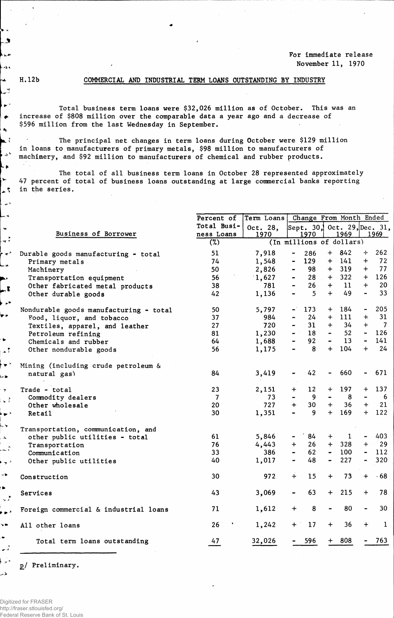ی تغديانا وبعدا  $\ddot{\phantom{1}}$ 

l prix  $\ddot{\bullet}$  $\blacktriangle$ 

↳  $\blacktriangleright$ 

 $\overline{a}$ u.  $\tilde{\phantom{a}}$  $\frac{1}{2}$  $\rightarrow$ فأسا

3.

i p™ ..

÷. ا م

د۔ا  $\overline{\phantom{a}}$  $\left\lfloor \frac{1}{2} \right\rfloor$ د ج با L, s  $\overline{A}$ 

دچځ  $\rightarrow$ ĥ.  $\mathbf{v}^{\star}$ , , ,  $\overline{\phantom{a}}$ . تمس  $\frac{1}{2}$ لأمر

## **H. 12b COMMERCIAL AND INDUSTRIAL TERM LOANS OUTSTANDING BY INDUSTRY**

**Total business term loans were \$32,026 million as of October• This was an increase of \$808 million over the comparable data a year ago and a decrease of \$596 million from the last Wednesday in September.**

 $\bullet$  . The contract of the contract of the contract of the contract of the contract of the contract of the contract of the contract of the contract of the contract of the contract of the contract of the contract of the co

**? The principal net changes in term loans during October were \$129 million in loans to manufacturers of primary metals, \$98 million to manufacturers of <sup>v</sup> machinery, and \$92 million to manufacturers of chemical and rubber products.**

**The total of all business term loans in October 28 represented approximately 47 percent of total of business loans outstanding at large commercial banks reporting % in the series.**

|                                        | <b>Percent of</b> | Term Loans |                                  |                                     | Change From Month Ended             |
|----------------------------------------|-------------------|------------|----------------------------------|-------------------------------------|-------------------------------------|
|                                        | Total Busi-       | Oct. 28,   |                                  |                                     | Sept. 30, Oct. 29, Dec. 31,         |
| Business of Borrower                   | ness Loans        | 1970       | 1970                             | <u>1969</u>                         | 1969                                |
|                                        | (%)               |            | (In millions of dollars)         |                                     |                                     |
| Durable goods manufacturing - total    | 51                | 7,918      | 286<br>$\blacksquare$            | 842<br>$+$                          | 262<br>$+$                          |
| Primary metals                         | 74                | 1,548      | 129<br>$\blacksquare$            | 141<br>$+$                          | 72<br>$\ddot{}$                     |
| Machinery                              | 50                | 2,826      | 98<br>$\blacksquare$             | 319<br>$+$                          | 77<br>$+$                           |
| Transportation equipment               | 56                | 1,627      | 28<br>$\blacksquare$             | 322<br>$+$                          | 126<br>$+$                          |
| Other fabricated metal products        | 38                | 781        | 26                               | 11<br>$+$                           | $+$<br>20                           |
| Other durable goods                    | 42                | 1,136      | $\overline{5}$<br>$\blacksquare$ | 49<br>$+$                           | 33 <sup>°</sup><br>$\blacksquare$   |
| Nondurable goods manufacturing - total | 50                | 5,797      | $\blacksquare$<br>173            | 184<br>$+$                          | 205<br>$\overline{\phantom{a}}$     |
| Food, liquor, and tobacco              | 37                | 984        | 24                               | 111<br>$+$                          | 31<br>$+$                           |
| Textiles, apparel, and leather         | 27                | 720        | 31                               | 34<br>$+$                           | $\overline{7}$<br>$+$               |
| Petroleum refining                     | 81                | 1,230      | 18<br>$ -$                       | 52<br>$\frac{1}{2}$                 | 126<br>$\blacksquare$               |
| Chemicals and rubber                   | 64                | 1,688      | 92                               | 13<br>$\blacksquare$                | 141<br>$\blacksquare$               |
| Other nondurable goods                 | 56                | 1,175      | 8                                | 104<br>$+$                          | 24<br>$+$                           |
| Mining (including crude petroleum &    |                   |            |                                  |                                     |                                     |
| natural gas)                           | 84                | 3,419      | 42<br>$\blacksquare$             | 660<br>$\hbox{\small -}$            | 671<br>-                            |
| Trade - total                          | 23                | 2,151      | 12<br>$\ddot{}$                  | 197<br>$\div$                       | 137<br>$\div$                       |
| Commodity dealers                      | $\overline{7}$    | 73         | 9                                | $\blacksquare$<br>8                 | -6                                  |
| Other wholesale                        | 20                | 727        | 30<br>$\ddot{+}$                 | 36<br>$+$                           | 21<br>$+$                           |
| Retail                                 | 30                | 1,351      | 9                                | $+$<br>169                          | 122<br>$+$                          |
| Transportation, communication, and     |                   |            |                                  |                                     |                                     |
| other public utilities - total         | 61                | 5,846      | 84                               | $\mathbf{1}$<br>$\pm$               | 403<br>$\blacksquare$               |
| Transportation                         | 76                | 4,443      | 26<br>$+$                        | 328<br>$+$                          | $\sim 29$<br>$+$                    |
| Communication                          | 33                | 386        | 62                               | 100<br>$\blacksquare$               | 112<br>$\qquad \qquad \blacksquare$ |
| Other public utilities                 | 40                | 1,017      | 48                               | 227<br>$\qquad \qquad \blacksquare$ | 320<br>$\qquad \qquad \blacksquare$ |
| Construction                           | 30                | 972        | $+$<br>15                        | 73<br>$\ddot{}$                     | $\cdot$ 68<br>$+$                   |
| Services                               | 43                | 3,069      | 63<br>$\blacksquare$             | 215<br>$+$                          | $+$<br>78                           |
| Foreign commercial & industrial loans  | 71                | 1,612      | 8<br>$\div$                      | 80<br>$\overline{\phantom{0}}$      | 30<br>$\overline{\phantom{0}}$      |
| All other loans                        | 26                | 1,242      | 17<br>$+$                        | 36<br>$+$                           | $\mathbf 1$<br>$\div$               |
| Total term loans outstanding           | 47                | 32,026     | 596                              | 808<br>$+$                          | 763                                 |

**]>/ Preliminary.**